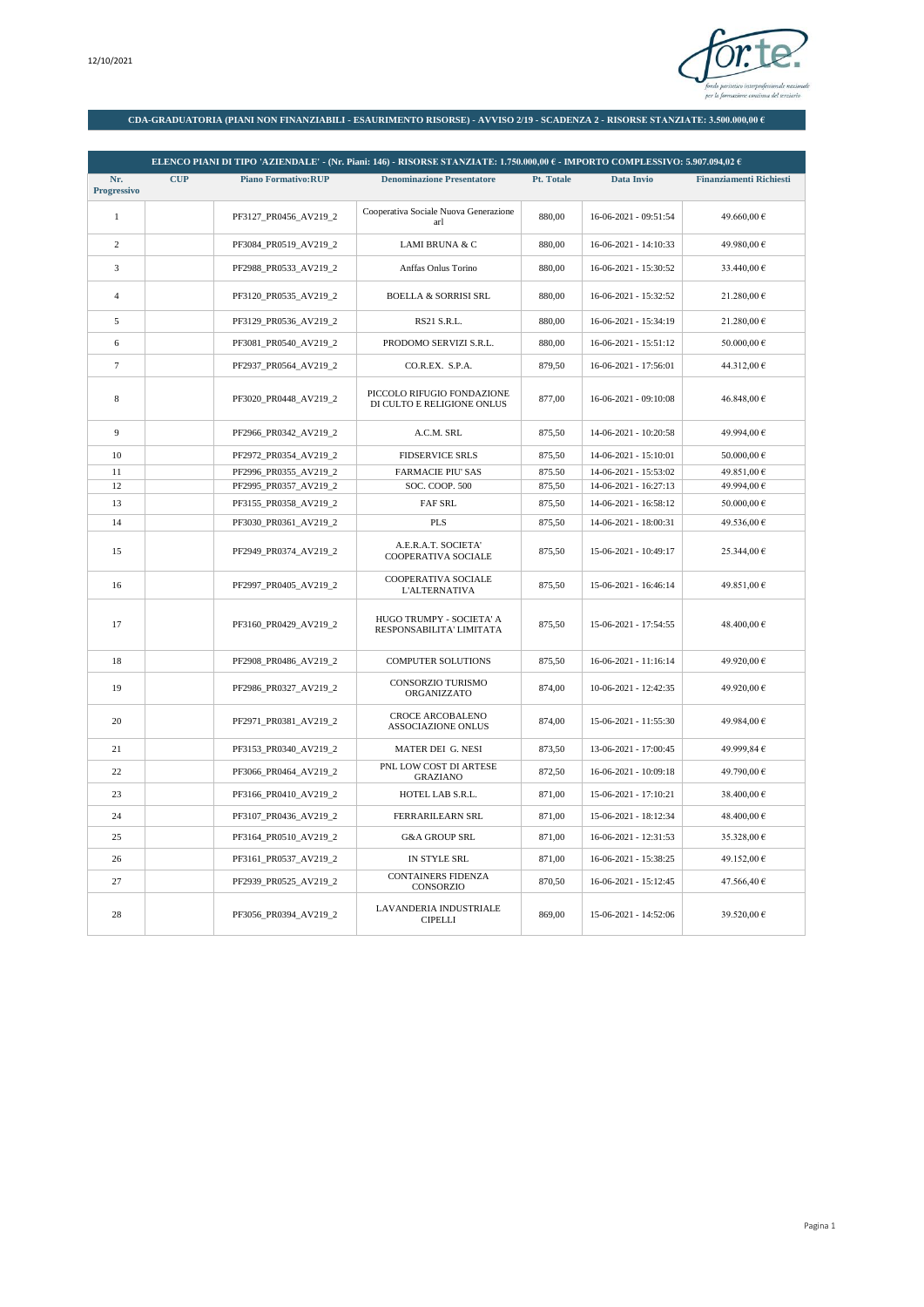

## **CDA-GRADUATORIA (PIANI NON FINANZIABILI - ESAURIMENTO RISORSE) - AVVISO 2/19 - SCADENZA 2 - RISORSE STANZIATE: 3.500.000,00 €**

|                    |            |                            | ELENCO PIANI DI TIPO 'AZIENDALE' - (Nr. Piani: 146) - RISORSE STANZIATE: 1.750.000.00 € - IMPORTO COMPLESSIVO: 5.907.094.02 € |            |                         |                                |
|--------------------|------------|----------------------------|-------------------------------------------------------------------------------------------------------------------------------|------------|-------------------------|--------------------------------|
| Nr.<br>Progressivo | <b>CUP</b> | <b>Piano Formativo:RUP</b> | <b>Denominazione Presentatore</b>                                                                                             | Pt. Totale | Data Invio              | <b>Finanziamenti Richiesti</b> |
| $1\,$              |            | PF3127_PR0456_AV219_2      | Cooperativa Sociale Nuova Generazione<br>arl                                                                                  | 880,00     | 16-06-2021 - 09:51:54   | 49.660,00 €                    |
| $\mathbf{2}$       |            | PF3084_PR0519_AV219_2      | LAMI BRUNA & C                                                                                                                | 880,00     | 16-06-2021 - 14:10:33   | 49.980,00 €                    |
| 3                  |            | PF2988 PR0533 AV219 2      | Anffas Onlus Torino                                                                                                           | 880.00     | 16-06-2021 - 15:30:52   | 33.440.00 €                    |
| $\overline{4}$     |            | PF3120_PR0535_AV219_2      | <b>BOELLA &amp; SORRISI SRL</b>                                                                                               | 880,00     | 16-06-2021 - 15:32:52   | 21.280,00 €                    |
| 5                  |            | PF3129_PR0536_AV219_2      | RS21 S.R.L.                                                                                                                   | 880,00     | 16-06-2021 - 15:34:19   | 21.280,00 €                    |
| 6                  |            | PF3081_PR0540_AV219_2      | PRODOMO SERVIZI S.R.L.                                                                                                        | 880.00     | 16-06-2021 - 15:51:12   | 50.000,00 €                    |
| $\overline{7}$     |            | PF2937_PR0564_AV219_2      | CO.R.EX. S.P.A.                                                                                                               | 879,50     | 16-06-2021 - 17:56:01   | 44.312,00 €                    |
| 8                  |            | PF3020_PR0448_AV219_2      | PICCOLO RIFUGIO FONDAZIONE<br>DI CULTO E RELIGIONE ONLUS                                                                      | 877,00     | 16-06-2021 - 09:10:08   | 46.848,00 €                    |
| 9                  |            | PF2966_PR0342_AV219_2      | A.C.M. SRL                                                                                                                    | 875,50     | 14-06-2021 - 10:20:58   | 49.994,00 €                    |
| 10                 |            | PF2972_PR0354_AV219_2      | <b>FIDSERVICE SRLS</b>                                                                                                        | 875,50     | 14-06-2021 - 15:10:01   | 50.000,00 €                    |
| 11                 |            | PF2996 PR0355 AV219 2      | <b>FARMACIE PIU' SAS</b>                                                                                                      | 875.50     | 14-06-2021 - 15:53:02   | 49.851,00 €                    |
| 12                 |            | PF2995 PR0357 AV219 2      | SOC. COOP. 500                                                                                                                | 875,50     | 14-06-2021 - 16:27:13   | 49.994,00 €                    |
| 13                 |            | PF3155_PR0358_AV219_2      | FAF SRL                                                                                                                       | 875,50     | 14-06-2021 - 16:58:12   | 50.000,00 €                    |
| 14                 |            | PF3030_PR0361_AV219_2      | <b>PLS</b>                                                                                                                    | 875,50     | 14-06-2021 - 18:00:31   | 49.536,00 €                    |
| 15                 |            | PF2949 PR0374 AV219 2      | A.E.R.A.T. SOCIETA'<br>COOPERATIVA SOCIALE                                                                                    | 875,50     | 15-06-2021 - 10:49:17   | 25.344,00 €                    |
| 16                 |            | PF2997_PR0405_AV219_2      | COOPERATIVA SOCIALE<br><b>L'ALTERNATIVA</b>                                                                                   | 875,50     | 15-06-2021 - 16:46:14   | 49.851,00 €                    |
| 17                 |            | PF3160_PR0429_AV219_2      | HUGO TRUMPY - SOCIETA' A<br>RESPONSABILITA' LIMITATA                                                                          | 875,50     | 15-06-2021 - 17:54:55   | 48.400,00 €                    |
| 18                 |            | PF2908_PR0486_AV219_2      | <b>COMPUTER SOLUTIONS</b>                                                                                                     | 875,50     | 16-06-2021 - 11:16:14   | 49.920,00 €                    |
| 19                 |            | PF2986_PR0327_AV219_2      | CONSORZIO TURISMO<br>ORGANIZZATO                                                                                              | 874,00     | 10-06-2021 - 12:42:35   | 49.920,00 €                    |
| 20                 |            | PF2971 PR0381 AV219 2      | <b>CROCE ARCOBALENO</b><br><b>ASSOCIAZIONE ONLUS</b>                                                                          | 874.00     | $15-06-2021 - 11:55:30$ | 49.984.00 €                    |
| 21                 |            | PF3153_PR0340_AV219_2      | MATER DEI G. NESI                                                                                                             | 873,50     | 13-06-2021 - 17:00:45   | 49.999,84 €                    |
| 22                 |            | PF3066_PR0464_AV219_2      | PNL LOW COST DI ARTESE<br><b>GRAZIANO</b>                                                                                     | 872,50     | 16-06-2021 - 10:09:18   | 49.790,00 €                    |
| 23                 |            | PF3166_PR0410_AV219_2      | HOTEL LAB S.R.L.                                                                                                              | 871,00     | 15-06-2021 - 17:10:21   | 38.400,00 €                    |
| 24                 |            | PF3107_PR0436_AV219_2      | <b>FERRARILEARN SRL</b>                                                                                                       | 871.00     | 15-06-2021 - 18:12:34   | 48.400.00 €                    |
| 25                 |            | PF3164_PR0510_AV219_2      | <b>G&amp;A GROUP SRL</b>                                                                                                      | 871,00     | 16-06-2021 - 12:31:53   | 35.328,00 €                    |
| 26                 |            | PF3161_PR0537_AV219_2      | IN STYLE SRL                                                                                                                  | 871,00     | 16-06-2021 - 15:38:25   | 49.152,00 €                    |
| 27                 |            | PF2939_PR0525_AV219_2      | CONTAINERS FIDENZA<br>CONSORZIO                                                                                               | 870,50     | 16-06-2021 - 15:12:45   | 47.566,40 €                    |
| 28                 |            | PF3056 PR0394 AV219 2      | <b>LAVANDERIA INDUSTRIALE</b><br><b>CIPELLI</b>                                                                               | 869,00     | 15-06-2021 - 14:52:06   | 39.520,00 €                    |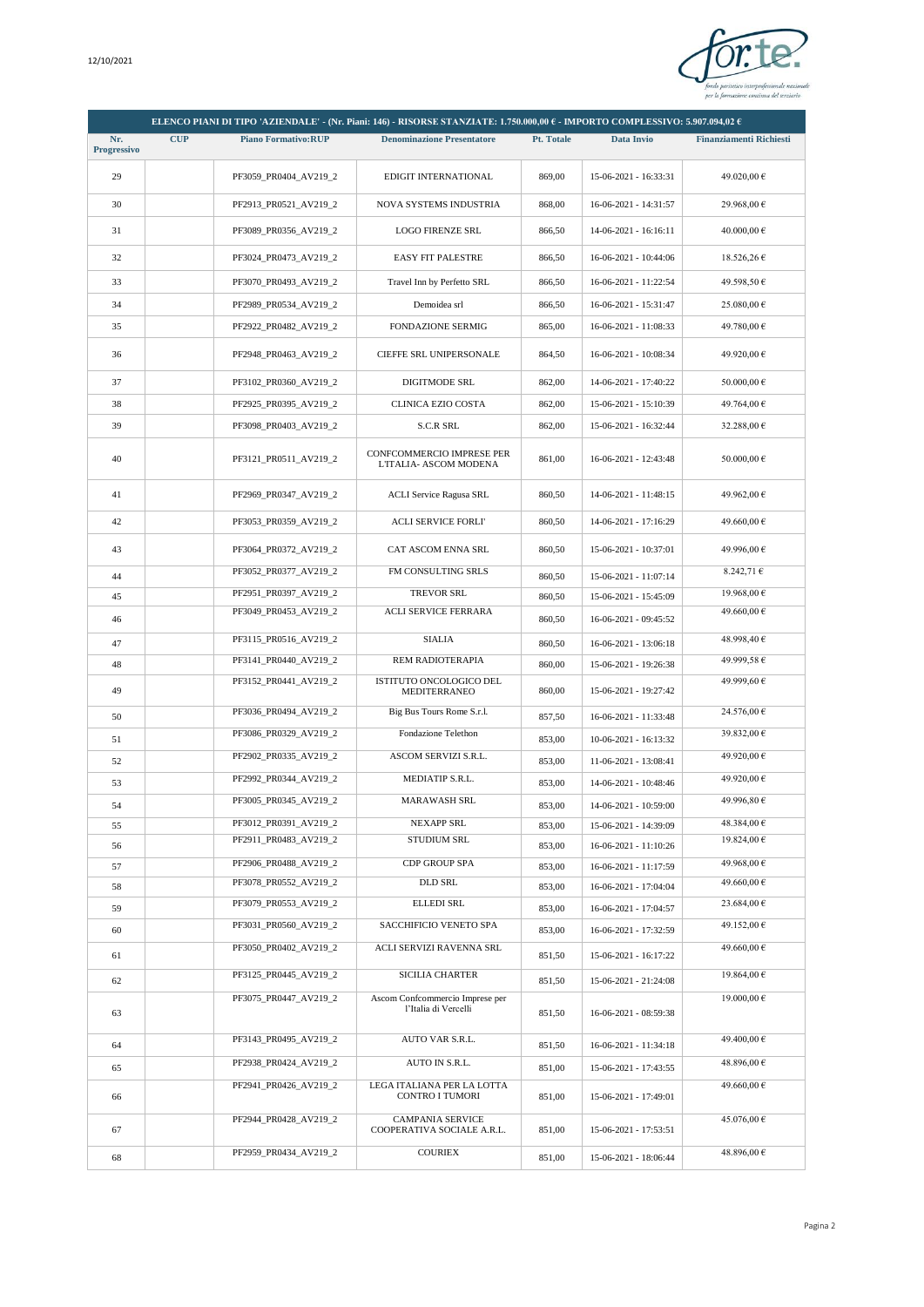

|                   |            |                                                | ELENCO PIANI DI TIPO 'AZIENDALE' - (Nr. Piani: 146) - RISORSE STANZIATE: 1.750.000,00 € - IMPORTO COMPLESSIVO: 5.907.094,02 € |            |                         |                                |
|-------------------|------------|------------------------------------------------|-------------------------------------------------------------------------------------------------------------------------------|------------|-------------------------|--------------------------------|
| Nr.               | <b>CUP</b> | <b>Piano Formativo:RUP</b>                     | <b>Denominazione Presentatore</b>                                                                                             | Pt. Totale | Data Invio              | <b>Finanziamenti Richiesti</b> |
| Progressivo<br>29 |            | PF3059_PR0404_AV219_2                          | EDIGIT INTERNATIONAL                                                                                                          | 869,00     | 15-06-2021 - 16:33:31   | 49.020,00 €                    |
| 30                |            | PF2913_PR0521_AV219_2                          | <b>NOVA SYSTEMS INDUSTRIA</b>                                                                                                 | 868,00     | $16-06-2021 - 14:31:57$ | 29.968,00 €                    |
|                   |            |                                                |                                                                                                                               |            |                         |                                |
| 31                |            | PF3089_PR0356_AV219_2                          | <b>LOGO FIRENZE SRL</b>                                                                                                       | 866,50     | 14-06-2021 - 16:16:11   | 40.000,00 €                    |
| 32                |            | PF3024_PR0473_AV219_2                          | <b>EASY FIT PALESTRE</b>                                                                                                      | 866,50     | 16-06-2021 - 10:44:06   | $18.526,26 \in$                |
| 33                |            | PF3070 PR0493 AV219 2                          | Travel Inn by Perfetto SRL                                                                                                    | 866,50     | 16-06-2021 - 11:22:54   | 49.598,50 €                    |
| 34                |            | PF2989 PR0534 AV219 2                          | Demoidea srl                                                                                                                  | 866,50     | 16-06-2021 - 15:31:47   | 25.080,00 €                    |
| 35                |            | PF2922_PR0482_AV219_2                          | <b>FONDAZIONE SERMIG</b>                                                                                                      | 865,00     | 16-06-2021 - 11:08:33   | 49.780,00 €                    |
| 36                |            | PF2948_PR0463_AV219_2                          | CIEFFE SRL UNIPERSONALE                                                                                                       | 864,50     | 16-06-2021 - 10:08:34   | 49.920,00 €                    |
| 37                |            | PF3102_PR0360_AV219_2                          | <b>DIGITMODE SRL</b>                                                                                                          | 862,00     | 14-06-2021 - 17:40:22   | 50.000,00 €                    |
| 38                |            | PF2925_PR0395_AV219_2                          | CLINICA EZIO COSTA                                                                                                            | 862,00     | 15-06-2021 - 15:10:39   | 49.764,00 €                    |
| 39                |            | PF3098_PR0403_AV219_2                          | <b>S.C.R SRL</b>                                                                                                              | 862,00     | 15-06-2021 - 16:32:44   | 32.288,00 €                    |
| 40                |            | PF3121 PR0511 AV219 2                          | <b>CONFCOMMERCIO IMPRESE PER</b><br>L'ITALIA- ASCOM MODENA                                                                    | 861,00     | 16-06-2021 - 12:43:48   | 50.000,00 €                    |
| 41                |            | PF2969 PR0347 AV219 2                          | <b>ACLI Service Ragusa SRL</b>                                                                                                | 860,50     | 14-06-2021 - 11:48:15   | 49.962,00 €                    |
| 42                |            | PF3053_PR0359_AV219_2                          | <b>ACLI SERVICE FORLI'</b>                                                                                                    | 860,50     | 14-06-2021 - 17:16:29   | 49.660,00 €                    |
| 43                |            | PF3064 PR0372 AV219 2                          | <b>CAT ASCOM ENNA SRL</b>                                                                                                     | 860,50     | 15-06-2021 - 10:37:01   | 49.996,00 €                    |
| 44                |            | PF3052_PR0377_AV219_2                          | FM CONSULTING SRLS                                                                                                            | 860,50     | 15-06-2021 - 11:07:14   | 8.242,71 €                     |
| 45                |            | PF2951_PR0397_AV219_2                          | <b>TREVOR SRL</b>                                                                                                             | 860,50     | 15-06-2021 - 15:45:09   | 19.968,00 €                    |
| 46                |            | PF3049_PR0453_AV219_2                          | ACLI SERVICE FERRARA                                                                                                          | 860,50     | 16-06-2021 - 09:45:52   | 49.660,00 €                    |
| 47                |            | PF3115_PR0516_AV219_2                          | <b>SIALIA</b>                                                                                                                 | 860,50     | 16-06-2021 - 13:06:18   | 48.998,40 €                    |
| 48                |            | PF3141_PR0440_AV219_2                          | REM RADIOTERAPIA                                                                                                              | 860,00     | 15-06-2021 - 19:26:38   | 49.999,58 €                    |
| 49                |            | PF3152_PR0441_AV219_2                          | ISTITUTO ONCOLOGICO DEL<br>MEDITERRANEO                                                                                       | 860,00     | 15-06-2021 - 19:27:42   | 49.999,60 €                    |
| 50                |            | PF3036 PR0494 AV219 2                          | Big Bus Tours Rome S.r.l.                                                                                                     | 857,50     | 16-06-2021 - 11:33:48   | 24.576,00 €                    |
| 51                |            | PF3086 PR0329 AV219 2                          | Fondazione Telethon                                                                                                           | 853,00     | 10-06-2021 - 16:13:32   | 39.832,00 €                    |
| 52                |            | PF2902 PR0335 AV219 2                          | ASCOM SERVIZI S.R.L.                                                                                                          | 853,00     | 11-06-2021 - 13:08:41   | 49.920,00 €                    |
| 53                |            | PF2992_PR0344_AV219_2                          | MEDIATIP S.R.L.                                                                                                               | 853,00     | 14-06-2021 - 10:48:46   | 49.920,00 €                    |
| 54                |            | PF3005_PR0345_AV219_2                          | <b>MARAWASH SRL</b>                                                                                                           | 853,00     | 14-06-2021 - 10:59:00   | 49.996,80 €                    |
| 55                |            | PF3012 PR0391 AV219 2                          | <b>NEXAPP SRL</b>                                                                                                             | 853,00     | 15-06-2021 - 14:39:09   | 48.384,00 €                    |
| 56                |            | PF2911 PR0483 AV219 2                          | STUDIUM SRL                                                                                                                   | 853,00     | 16-06-2021 - 11:10:26   | 19.824,00 €                    |
| 57                |            | PF2906 PR0488 AV219 2                          | <b>CDP GROUP SPA</b>                                                                                                          | 853,00     | 16-06-2021 - 11:17:59   | 49.968,00 €                    |
| 58                |            | PF3078_PR0552_AV219_2                          | <b>DLD SRL</b><br><b>ELLEDI SRL</b>                                                                                           | 853,00     | 16-06-2021 - 17:04:04   | 49.660,00€                     |
| 59                |            | PF3079_PR0553_AV219_2<br>PF3031_PR0560_AV219_2 | SACCHIFICIO VENETO SPA                                                                                                        | 853,00     | 16-06-2021 - 17:04:57   | 23.684,00 €<br>49.152,00 €     |
| 60                |            | PF3050 PR0402 AV219 2                          | ACLI SERVIZI RAVENNA SRL                                                                                                      | 853,00     | 16-06-2021 - 17:32:59   | 49.660,00 €                    |
| 61                |            |                                                |                                                                                                                               | 851,50     | 15-06-2021 - 16:17:22   |                                |
| 62                |            | PF3125 PR0445 AV219 2                          | <b>SICILIA CHARTER</b>                                                                                                        | 851,50     | 15-06-2021 - 21:24:08   | 19.864,00 €                    |
| 63                |            | PF3075 PR0447 AV219 2                          | Ascom Confcommercio Imprese per<br>l'Italia di Vercelli                                                                       | 851,50     | 16-06-2021 - 08:59:38   | 19.000,00 €                    |
| 64                |            | PF3143_PR0495_AV219_2                          | AUTO VAR S.R.L.                                                                                                               | 851,50     | 16-06-2021 - 11:34:18   | 49.400,00 €                    |
| 65                |            | PF2938_PR0424_AV219_2                          | AUTO IN S.R.L.                                                                                                                | 851,00     | 15-06-2021 - 17:43:55   | 48.896,00 €                    |
| 66                |            | PF2941_PR0426_AV219_2                          | LEGA ITALIANA PER LA LOTTA<br>CONTRO I TUMORI                                                                                 | 851,00     | 15-06-2021 - 17:49:01   | 49.660,00 €                    |
| 67                |            | PF2944_PR0428_AV219_2                          | <b>CAMPANIA SERVICE</b><br>COOPERATIVA SOCIALE A.R.L.                                                                         | 851,00     | 15-06-2021 - 17:53:51   | 45.076,00 €                    |
| 68                |            | PF2959_PR0434_AV219_2                          | <b>COURIEX</b>                                                                                                                | 851,00     | 15-06-2021 - 18:06:44   | 48.896,00 €                    |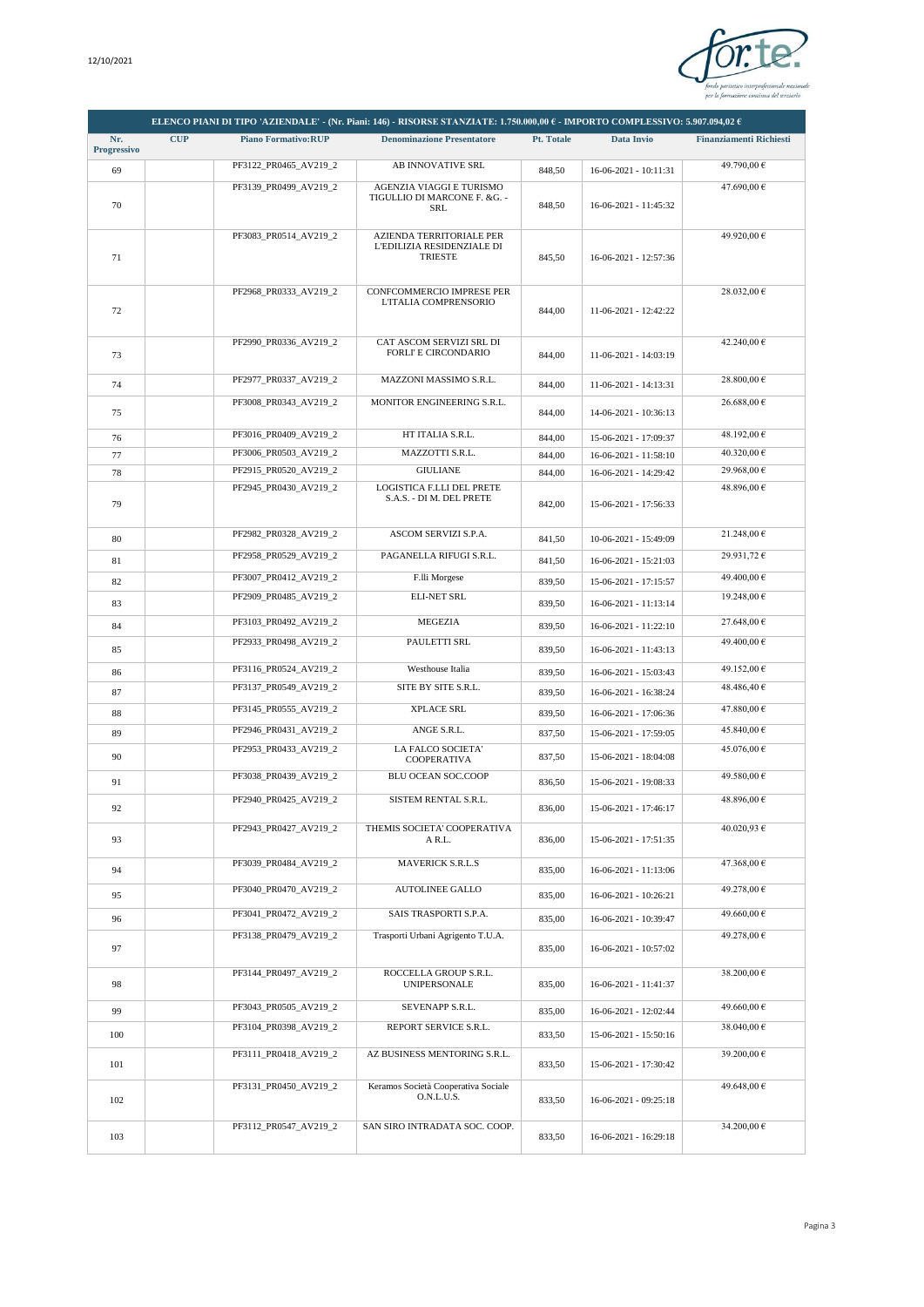

|                    |            |                            | ELENCO PIANI DI TIPO 'AZIENDALE' - (Nr. Piani: 146) - RISORSE STANZIATE: 1.750.000,00 € - IMPORTO COMPLESSIVO: 5.907.094,02 € |            |                         |                                |
|--------------------|------------|----------------------------|-------------------------------------------------------------------------------------------------------------------------------|------------|-------------------------|--------------------------------|
| Nr.<br>Progressivo | <b>CUP</b> | <b>Piano Formativo:RUP</b> | <b>Denominazione Presentatore</b>                                                                                             | Pt. Totale | Data Invio              | <b>Finanziamenti Richiesti</b> |
| 69                 |            | PF3122 PR0465 AV219 2      | AB INNOVATIVE SRL                                                                                                             | 848,50     | 16-06-2021 - 10:11:31   | 49.790,00 €                    |
| 70                 |            | PF3139_PR0499_AV219_2      | AGENZIA VIAGGI E TURISMO<br>TIGULLIO DI MARCONE F. &G. -<br>SRL                                                               | 848,50     | 16-06-2021 - 11:45:32   | 47.690,00 €                    |
| 71                 |            | PF3083_PR0514_AV219_2      | AZIENDA TERRITORIALE PER<br>L'EDILIZIA RESIDENZIALE DI<br><b>TRIESTE</b>                                                      | 845,50     | 16-06-2021 - 12:57:36   | 49.920,00 €                    |
| 72                 |            | PF2968_PR0333_AV219_2      | CONFCOMMERCIO IMPRESE PER<br>L'ITALIA COMPRENSORIO                                                                            | 844,00     | 11-06-2021 - 12:42:22   | 28.032,00 €                    |
| 73                 |            | PF2990_PR0336_AV219_2      | CAT ASCOM SERVIZI SRL DI<br>FORLI' E CIRCONDARIO                                                                              | 844,00     | 11-06-2021 - 14:03:19   | 42.240,00 €                    |
| 74                 |            | PF2977_PR0337_AV219_2      | MAZZONI MASSIMO S.R.L.                                                                                                        | 844,00     | 11-06-2021 - 14:13:31   | 28.800,00 €                    |
| 75                 |            | PF3008_PR0343_AV219_2      | MONITOR ENGINEERING S.R.L.                                                                                                    | 844,00     | 14-06-2021 - 10:36:13   | 26.688,00 €                    |
| 76                 |            | PF3016_PR0409_AV219_2      | HT ITALIA S.R.L.                                                                                                              | 844,00     | 15-06-2021 - 17:09:37   | 48.192,00 €                    |
| 77                 |            | PF3006_PR0503_AV219_2      | MAZZOTTI S.R.L.                                                                                                               | 844,00     | $16-06-2021 - 11:58:10$ | 40.320,00 €                    |
| 78                 |            | PF2915 PR0520 AV219 2      | <b>GIULIANE</b>                                                                                                               | 844,00     | 16-06-2021 - 14:29:42   | 29.968,00 €                    |
| 79                 |            | PF2945 PR0430 AV219 2      | LOGISTICA F.LLI DEL PRETE<br>S.A.S. - DI M. DEL PRETE                                                                         | 842.00     | 15-06-2021 - 17:56:33   | 48.896,00 €                    |
| 80                 |            | PF2982_PR0328_AV219_2      | ASCOM SERVIZI S.P.A.                                                                                                          | 841,50     | 10-06-2021 - 15:49:09   | 21.248,00 €                    |
| 81                 |            | PF2958_PR0529_AV219_2      | PAGANELLA RIFUGI S.R.L.                                                                                                       | 841,50     | 16-06-2021 - 15:21:03   | 29.931.72 €                    |
| 82                 |            | PF3007_PR0412_AV219_2      | F.lli Morgese                                                                                                                 | 839,50     | 15-06-2021 - 17:15:57   | 49.400,00 €                    |
| 83                 |            | PF2909_PR0485_AV219_2      | <b>ELI-NET SRL</b>                                                                                                            | 839,50     | 16-06-2021 - 11:13:14   | 19.248,00 €                    |
| 84                 |            | PF3103_PR0492_AV219_2      | <b>MEGEZIA</b>                                                                                                                | 839,50     | 16-06-2021 - 11:22:10   | 27.648,00 €                    |
| 85                 |            | PF2933_PR0498_AV219_2      | PAULETTI SRL                                                                                                                  | 839,50     | 16-06-2021 - 11:43:13   | 49.400,00 €                    |
| 86                 |            | PF3116_PR0524_AV219_2      | Westhouse Italia                                                                                                              | 839,50     | 16-06-2021 - 15:03:43   | 49.152,00 €                    |
| 87                 |            | PF3137_PR0549_AV219_2      | SITE BY SITE S.R.L.                                                                                                           | 839,50     | 16-06-2021 - 16:38:24   | 48.486,40 €                    |
| 88                 |            | PF3145_PR0555_AV219_2      | XPLACE SRL                                                                                                                    | 839,50     | 16-06-2021 - 17:06:36   | 47.880,00 €                    |
| 89                 |            | PF2946_PR0431_AV219_2      | ANGE S.R.L.                                                                                                                   | 837,50     | 15-06-2021 - 17:59:05   | 45.840,00 €                    |
| 90                 |            | PF2953_PR0433_AV219_2      | LA FALCO SOCIETA'<br>COOPERATIVA                                                                                              | 837,50     | 15-06-2021 - 18:04:08   | 45.076,00 €                    |
| 91                 |            | PF3038 PR0439 AV219 2      | BLU OCEAN SOC.COOP                                                                                                            | 836,50     | 15-06-2021 - 19:08:33   | 49.580,00 €                    |
| 92                 |            | PF2940_PR0425_AV219_2      | SISTEM RENTAL S.R.L.                                                                                                          | 836,00     | 15-06-2021 - 17:46:17   | 48.896,00 €                    |
| 93                 |            | PF2943_PR0427_AV219_2      | THEMIS SOCIETA' COOPERATIVA<br>A R.L.                                                                                         | 836,00     | 15-06-2021 - 17:51:35   | 40.020,93 €                    |
| 94                 |            | PF3039_PR0484_AV219_2      | <b>MAVERICK S.R.L.S</b>                                                                                                       | 835,00     | 16-06-2021 - 11:13:06   | 47.368,00 €                    |
| 95                 |            | PF3040_PR0470_AV219_2      | <b>AUTOLINEE GALLO</b>                                                                                                        | 835,00     | 16-06-2021 - 10:26:21   | 49.278,00 €                    |
| 96                 |            | PF3041_PR0472_AV219_2      | SAIS TRASPORTI S.P.A.                                                                                                         | 835,00     | 16-06-2021 - 10:39:47   | 49.660,00 €                    |
| 97                 |            | PF3138_PR0479_AV219_2      | Trasporti Urbani Agrigento T.U.A.                                                                                             | 835,00     | 16-06-2021 - 10:57:02   | 49.278,00 €                    |
| 98                 |            | PF3144_PR0497_AV219_2      | ROCCELLA GROUP S.R.L.<br><b>UNIPERSONALE</b>                                                                                  | 835,00     | 16-06-2021 - 11:41:37   | 38.200,00 €                    |
| 99                 |            | PF3043_PR0505_AV219_2      | SEVENAPP S.R.L.                                                                                                               | 835,00     | 16-06-2021 - 12:02:44   | 49.660,00 €                    |
| 100                |            | PF3104_PR0398_AV219_2      | REPORT SERVICE S.R.L.                                                                                                         | 833,50     | 15-06-2021 - 15:50:16   | 38.040,00 €                    |
| 101                |            | PF3111_PR0418_AV219_2      | AZ BUSINESS MENTORING S.R.L.                                                                                                  | 833,50     | 15-06-2021 - 17:30:42   | 39.200,00 €                    |
| 102                |            | PF3131_PR0450_AV219_2      | Keramos Società Cooperativa Sociale<br>O.N.L.U.S.                                                                             | 833,50     | 16-06-2021 - 09:25:18   | 49.648,00 €                    |
| 103                |            | PF3112_PR0547_AV219_2      | SAN SIRO INTRADATA SOC. COOP.                                                                                                 | 833,50     | 16-06-2021 - 16:29:18   | 34.200,00 €                    |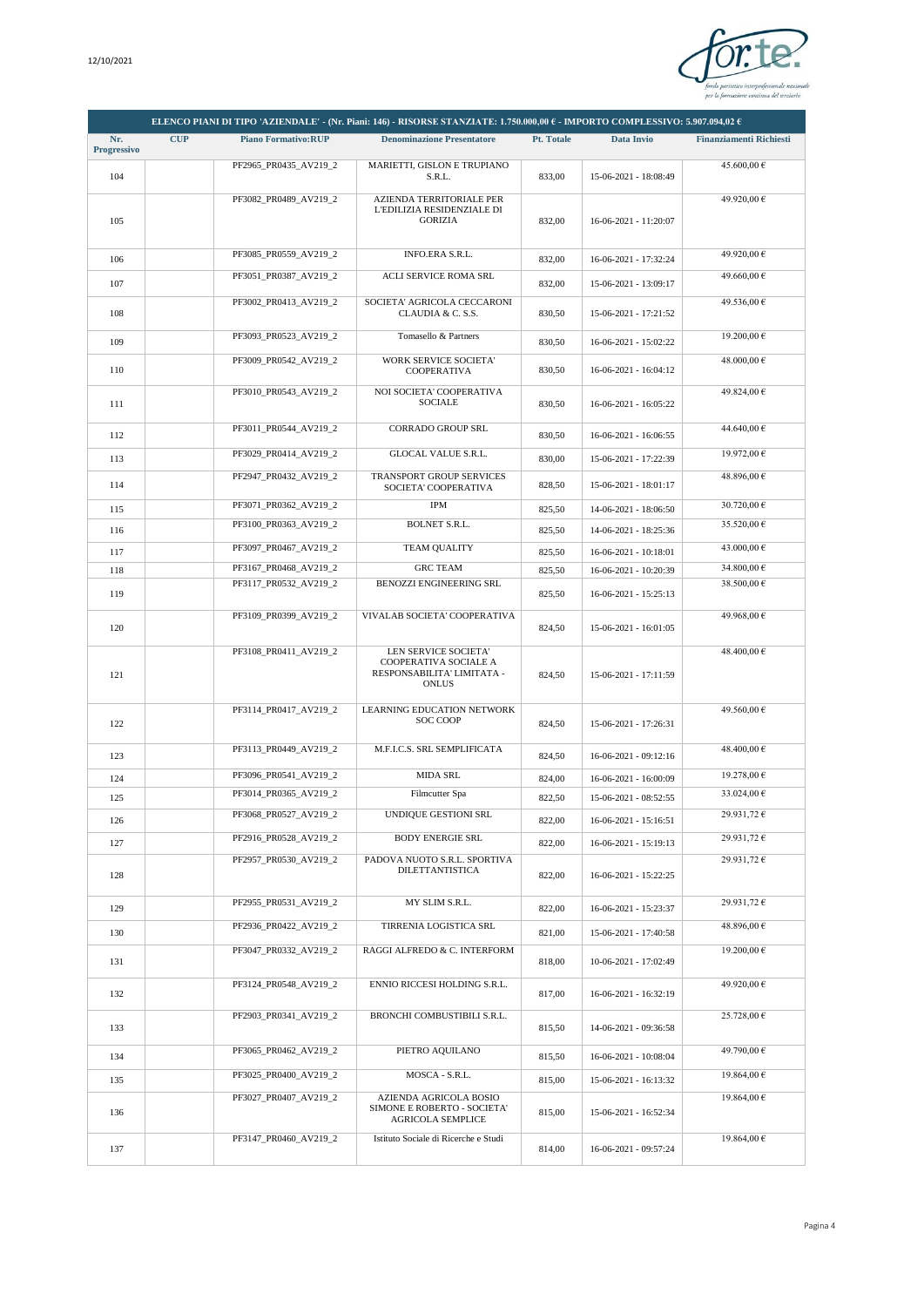

|                    |            |                            | ELENCO PIANI DI TIPO 'AZIENDALE' - (Nr. Piani: 146) - RISORSE STANZIATE: 1.750.000,00 € - IMPORTO COMPLESSIVO: 5.907.094,02 € |            |                         |                                |
|--------------------|------------|----------------------------|-------------------------------------------------------------------------------------------------------------------------------|------------|-------------------------|--------------------------------|
| Nr.<br>Progressivo | <b>CUP</b> | <b>Piano Formativo:RUP</b> | <b>Denominazione Presentatore</b>                                                                                             | Pt. Totale | Data Invio              | <b>Finanziamenti Richiesti</b> |
| 104                |            | PF2965_PR0435_AV219_2      | MARIETTI, GISLON E TRUPIANO<br>S.R.L.                                                                                         | 833,00     | 15-06-2021 - 18:08:49   | 45.600,00 €                    |
| 105                |            | PF3082_PR0489_AV219_2      | AZIENDA TERRITORIALE PER<br>L'EDILIZIA RESIDENZIALE DI<br><b>GORIZIA</b>                                                      | 832,00     | 16-06-2021 - 11:20:07   | 49.920,00 €                    |
| 106                |            | PF3085_PR0559_AV219_2      | INFO.ERA S.R.L.                                                                                                               | 832,00     | 16-06-2021 - 17:32:24   | 49.920,00 €                    |
| 107                |            | PF3051_PR0387_AV219_2      | ACLI SERVICE ROMA SRL                                                                                                         | 832,00     | 15-06-2021 - 13:09:17   | 49.660,00 €                    |
| 108                |            | PF3002_PR0413_AV219_2      | SOCIETA' AGRICOLA CECCARONI<br>CLAUDIA & C. S.S.                                                                              | 830,50     | 15-06-2021 - 17:21:52   | 49.536.00 €                    |
| 109                |            | PF3093_PR0523_AV219_2      | Tomasello & Partners                                                                                                          | 830,50     | 16-06-2021 - 15:02:22   | 19.200,00 €                    |
| 110                |            | PF3009_PR0542_AV219_2      | <b>WORK SERVICE SOCIETA'</b><br><b>COOPERATIVA</b>                                                                            | 830,50     | $16-06-2021 - 16:04:12$ | 48.000,00 €                    |
| 111                |            | PF3010_PR0543_AV219_2      | NOI SOCIETA' COOPERATIVA<br><b>SOCIALE</b>                                                                                    | 830,50     | 16-06-2021 - 16:05:22   | 49.824,00 €                    |
| 112                |            | PF3011_PR0544_AV219_2      | <b>CORRADO GROUP SRL</b>                                                                                                      | 830,50     | $16-06-2021 - 16:06:55$ | 44.640,00 €                    |
| 113                |            | PF3029_PR0414_AV219_2      | <b>GLOCAL VALUE S.R.L.</b>                                                                                                    | 830,00     | 15-06-2021 - 17:22:39   | 19.972,00 €                    |
| 114                |            | PF2947_PR0432_AV219_2      | TRANSPORT GROUP SERVICES<br>SOCIETA' COOPERATIVA                                                                              | 828,50     | 15-06-2021 - 18:01:17   | 48.896,00 €                    |
| 115                |            | PF3071_PR0362_AV219_2      | <b>IPM</b>                                                                                                                    | 825,50     | 14-06-2021 - 18:06:50   | 30.720,00 €                    |
| 116                |            | PF3100 PR0363 AV219 2      | <b>BOLNET S.R.L.</b>                                                                                                          | 825,50     | 14-06-2021 - 18:25:36   | 35.520,00 €                    |
| 117                |            | PF3097_PR0467_AV219_2      | <b>TEAM QUALITY</b>                                                                                                           | 825,50     | 16-06-2021 - 10:18:01   | 43.000,00 €                    |
| 118                |            | PF3167_PR0468_AV219_2      | <b>GRC TEAM</b>                                                                                                               | 825,50     | 16-06-2021 - 10:20:39   | 34.800,00 €                    |
| 119                |            | PF3117_PR0532_AV219_2      | BENOZZI ENGINEERING SRL                                                                                                       | 825,50     | 16-06-2021 - 15:25:13   | 38.500,00 €                    |
|                    |            | PF3109_PR0399_AV219_2      | VIVALAB SOCIETA' COOPERATIVA                                                                                                  |            |                         | 49.968,00 €                    |
| 120                |            |                            |                                                                                                                               | 824,50     | 15-06-2021 - 16:01:05   |                                |
| 121                |            | PF3108_PR0411_AV219_2      | LEN SERVICE SOCIETA'<br>COOPERATIVA SOCIALE A<br>RESPONSABILITA' LIMITATA -<br><b>ONLUS</b>                                   | 824,50     | 15-06-2021 - 17:11:59   | 48.400,00 €                    |
| 122                |            | PF3114_PR0417_AV219_2      | <b>LEARNING EDUCATION NETWORK</b><br>SOC COOP                                                                                 | 824,50     | 15-06-2021 - 17:26:31   | 49.560,00 €                    |
| 123                |            | PF3113 PR0449 AV219 2      | M.F.I.C.S. SRL SEMPLIFICATA                                                                                                   | 824,50     | $16-06-2021 - 09:12:16$ | 48.400,00 €                    |
| 124                |            | PF3096_PR0541_AV219_2      | <b>MIDA SRL</b>                                                                                                               | 824,00     | 16-06-2021 - 16:00:09   | 19.278,00 €                    |
| 125                |            | PF3014_PR0365_AV219_2      | Filmcutter Spa                                                                                                                | 822,50     | 15-06-2021 - 08:52:55   | 33.024,00 €                    |
| 126                |            | PF3068_PR0527_AV219_2      | UNDIQUE GESTIONI SRL                                                                                                          | 822,00     | 16-06-2021 - 15:16:51   | 29.931,72 €                    |
| 127                |            | PF2916_PR0528_AV219_2      | <b>BODY ENERGIE SRL</b>                                                                                                       | 822,00     | 16-06-2021 - 15:19:13   | 29.931,72 €                    |
| 128                |            | PF2957_PR0530_AV219_2      | PADOVA NUOTO S.R.L. SPORTIVA<br><b>DILETTANTISTICA</b>                                                                        | 822,00     | 16-06-2021 - 15:22:25   | 29.931,72 €                    |
| 129                |            | PF2955_PR0531_AV219_2      | MY SLIM S.R.L.                                                                                                                | 822,00     | 16-06-2021 - 15:23:37   | 29.931,72 €                    |
| 130                |            | PF2936_PR0422_AV219_2      | TIRRENIA LOGISTICA SRL                                                                                                        | 821,00     | 15-06-2021 - 17:40:58   | 48.896,00 €                    |
| 131                |            | PF3047_PR0332_AV219_2      | RAGGI ALFREDO & C. INTERFORM                                                                                                  | 818,00     | 10-06-2021 - 17:02:49   | 19.200,00 €                    |
| 132                |            | PF3124 PR0548 AV219 2      | ENNIO RICCESI HOLDING S.R.L.                                                                                                  | 817,00     | 16-06-2021 - 16:32:19   | 49.920,00 €                    |
| 133                |            | PF2903_PR0341_AV219_2      | BRONCHI COMBUSTIBILI S.R.L.                                                                                                   | 815,50     | 14-06-2021 - 09:36:58   | 25.728,00 €                    |
| 134                |            | PF3065_PR0462_AV219_2      | PIETRO AQUILANO                                                                                                               | 815,50     | 16-06-2021 - 10:08:04   | 49.790,00 €                    |
| 135                |            | PF3025_PR0400_AV219_2      | MOSCA - S.R.L.                                                                                                                | 815,00     | 15-06-2021 - 16:13:32   | 19.864,00 €                    |
| 136                |            | PF3027_PR0407_AV219_2      | AZIENDA AGRICOLA BOSIO<br>SIMONE E ROBERTO - SOCIETA'<br><b>AGRICOLA SEMPLICE</b>                                             | 815,00     | 15-06-2021 - 16:52:34   | 19.864,00 €                    |
| 137                |            | PF3147_PR0460_AV219_2      | Istituto Sociale di Ricerche e Studi                                                                                          | 814,00     | 16-06-2021 - 09:57:24   | 19.864,00 €                    |